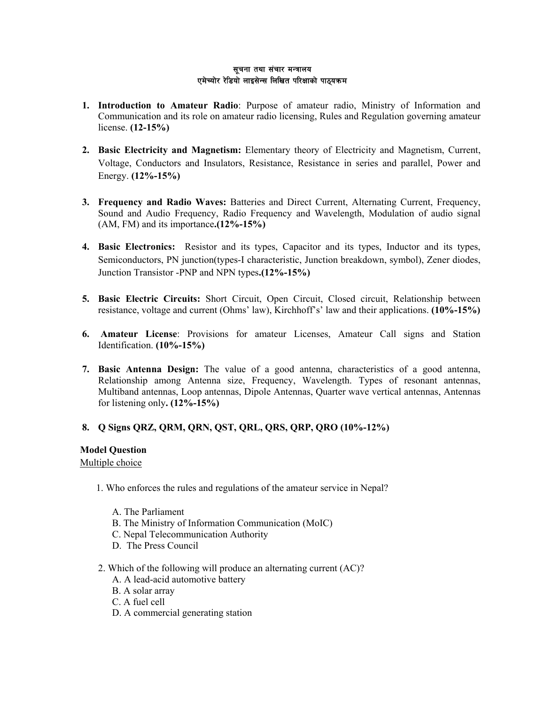#### सूचना तथा संचार मन्त्रालय एमेच्योर रेडियो लाइसेन्स लिखित परिक्षाको पाठ्यक्रम

- **1. Introduction to Amateur Radio**: Purpose of amateur radio, Ministry of Information and Communication and its role on amateur radio licensing, Rules and Regulation governing amateur license. **(12-15%)**
- **2. Basic Electricity and Magnetism:** Elementary theory of Electricity and Magnetism, Current, Voltage, Conductors and Insulators, Resistance, Resistance in series and parallel, Power and Energy. **(12%-15%)**
- **3. Frequency and Radio Waves:** Batteries and Direct Current, Alternating Current, Frequency, Sound and Audio Frequency, Radio Frequency and Wavelength, Modulation of audio signal (AM, FM) and its importance**.(12%-15%)**
- **4. Basic Electronics:** Resistor and its types, Capacitor and its types, Inductor and its types, Semiconductors, PN junction(types-I characteristic, Junction breakdown, symbol), Zener diodes, Junction Transistor -PNP and NPN types**.(12%-15%)**
- **5. Basic Electric Circuits:** Short Circuit, Open Circuit, Closed circuit, Relationship between resistance, voltage and current (Ohms' law), Kirchhoff's' law and their applications. **(10%-15%)**
- **6. Amateur License**: Provisions for amateur Licenses, Amateur Call signs and Station Identification. **(10%-15%)**
- **7. Basic Antenna Design:** The value of a good antenna, characteristics of a good antenna, Relationship among Antenna size, Frequency, Wavelength. Types of resonant antennas, Multiband antennas, Loop antennas, Dipole Antennas, Quarter wave vertical antennas, Antennas for listening only**. (12%-15%)**

# **8. Q Signs QRZ, QRM, QRN, QST, QRL, QRS, QRP, QRO (10%-12%)**

### **Model Question**

### Multiple choice

- 1. Who enforces the rules and regulations of the amateur service in Nepal?
	- A. The Parliament
	- B. The Ministry of Information Communication (MoIC)
	- C. Nepal Telecommunication Authority
	- D. The Press Council
- 2. Which of the following will produce an alternating current (AC)?
	- A. A lead-acid automotive battery
	- B. A solar array
	- C. A fuel cell
	- D. A commercial generating station